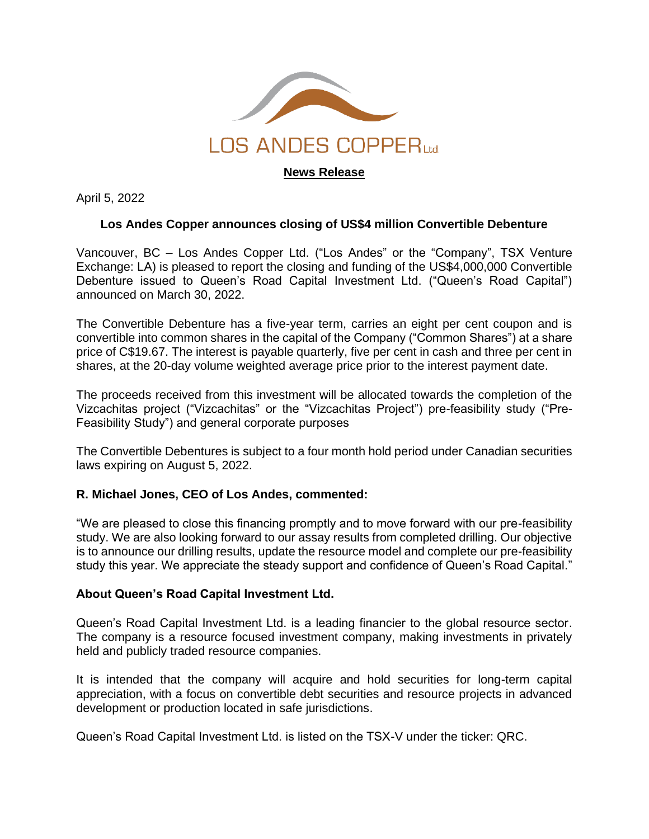

**News Release**

April 5, 2022

## **Los Andes Copper announces closing of US\$4 million Convertible Debenture**

Vancouver, BC – Los Andes Copper Ltd. ("Los Andes" or the "Company", TSX Venture Exchange: LA) is pleased to report the closing and funding of the US\$4,000,000 Convertible Debenture issued to Queen's Road Capital Investment Ltd. ("Queen's Road Capital") announced on March 30, 2022.

The Convertible Debenture has a five-year term, carries an eight per cent coupon and is convertible into common shares in the capital of the Company ("Common Shares") at a share price of C\$19.67. The interest is payable quarterly, five per cent in cash and three per cent in shares, at the 20-day volume weighted average price prior to the interest payment date.

The proceeds received from this investment will be allocated towards the completion of the Vizcachitas project ("Vizcachitas" or the "Vizcachitas Project") pre-feasibility study ("Pre-Feasibility Study") and general corporate purposes

The Convertible Debentures is subject to a four month hold period under Canadian securities laws expiring on August 5, 2022.

## **R. Michael Jones, CEO of Los Andes, commented:**

"We are pleased to close this financing promptly and to move forward with our pre-feasibility study. We are also looking forward to our assay results from completed drilling. Our objective is to announce our drilling results, update the resource model and complete our pre-feasibility study this year. We appreciate the steady support and confidence of Queen's Road Capital."

## **About Queen's Road Capital Investment Ltd.**

Queen's Road Capital Investment Ltd. is a leading financier to the global resource sector. The company is a resource focused investment company, making investments in privately held and publicly traded resource companies.

It is intended that the company will acquire and hold securities for long-term capital appreciation, with a focus on convertible debt securities and resource projects in advanced development or production located in safe jurisdictions.

Queen's Road Capital Investment Ltd. is listed on the TSX-V under the ticker: QRC.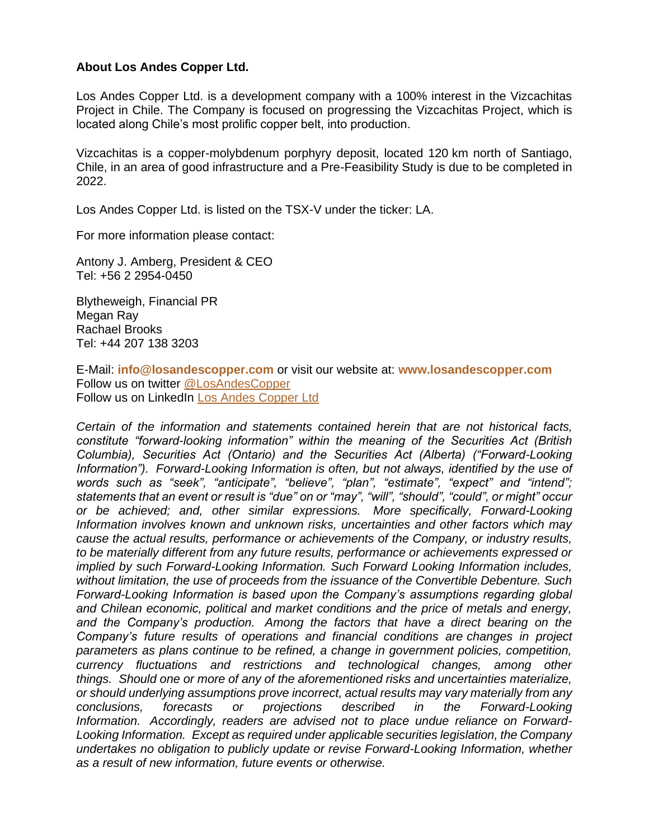## **About Los Andes Copper Ltd.**

Los Andes Copper Ltd. is a development company with a 100% interest in the Vizcachitas Project in Chile. The Company is focused on progressing the Vizcachitas Project, which is located along Chile's most prolific copper belt, into production.

Vizcachitas is a copper-molybdenum porphyry deposit, located 120 km north of Santiago, Chile, in an area of good infrastructure and a Pre-Feasibility Study is due to be completed in 2022.

Los Andes Copper Ltd. is listed on the TSX-V under the ticker: LA.

For more information please contact:

Antony J. Amberg, President & CEO Tel: +56 2 2954-0450

Blytheweigh, Financial PR Megan Ray Rachael Brooks Tel: +44 207 138 3203

E-Mail: **[info@losandescopper.com](mailto:info@losandescopper.com)** or visit our website at: **[www.losandescopper.com](http://www.losandescopper.com/)** Follow us on twitter [@LosAndesCopper](https://twitter.com/LosAndesCopper) Follow us on LinkedIn [Los Andes Copper Ltd](https://www.linkedin.com/company/los-andes-copper/)

*Certain of the information and statements contained herein that are not historical facts, constitute "forward-looking information" within the meaning of the Securities Act (British Columbia), Securities Act (Ontario) and the Securities Act (Alberta) ("Forward-Looking Information"). Forward-Looking Information is often, but not always, identified by the use of words such as "seek", "anticipate", "believe", "plan", "estimate", "expect" and "intend"; statements that an event or result is "due" on or "may", "will", "should", "could", or might" occur or be achieved; and, other similar expressions. More specifically, Forward-Looking Information involves known and unknown risks, uncertainties and other factors which may cause the actual results, performance or achievements of the Company, or industry results, to be materially different from any future results, performance or achievements expressed or implied by such Forward-Looking Information. Such Forward Looking Information includes, without limitation, the use of proceeds from the issuance of the Convertible Debenture. Such Forward-Looking Information is based upon the Company's assumptions regarding global and Chilean economic, political and market conditions and the price of metals and energy, and the Company's production. Among the factors that have a direct bearing on the Company's future results of operations and financial conditions are changes in project parameters as plans continue to be refined, a change in government policies, competition, currency fluctuations and restrictions and technological changes, among other things. Should one or more of any of the aforementioned risks and uncertainties materialize, or should underlying assumptions prove incorrect, actual results may vary materially from any conclusions, forecasts or projections described in the Forward-Looking Information. Accordingly, readers are advised not to place undue reliance on Forward-Looking Information. Except as required under applicable securities legislation, the Company undertakes no obligation to publicly update or revise Forward-Looking Information, whether as a result of new information, future events or otherwise.*